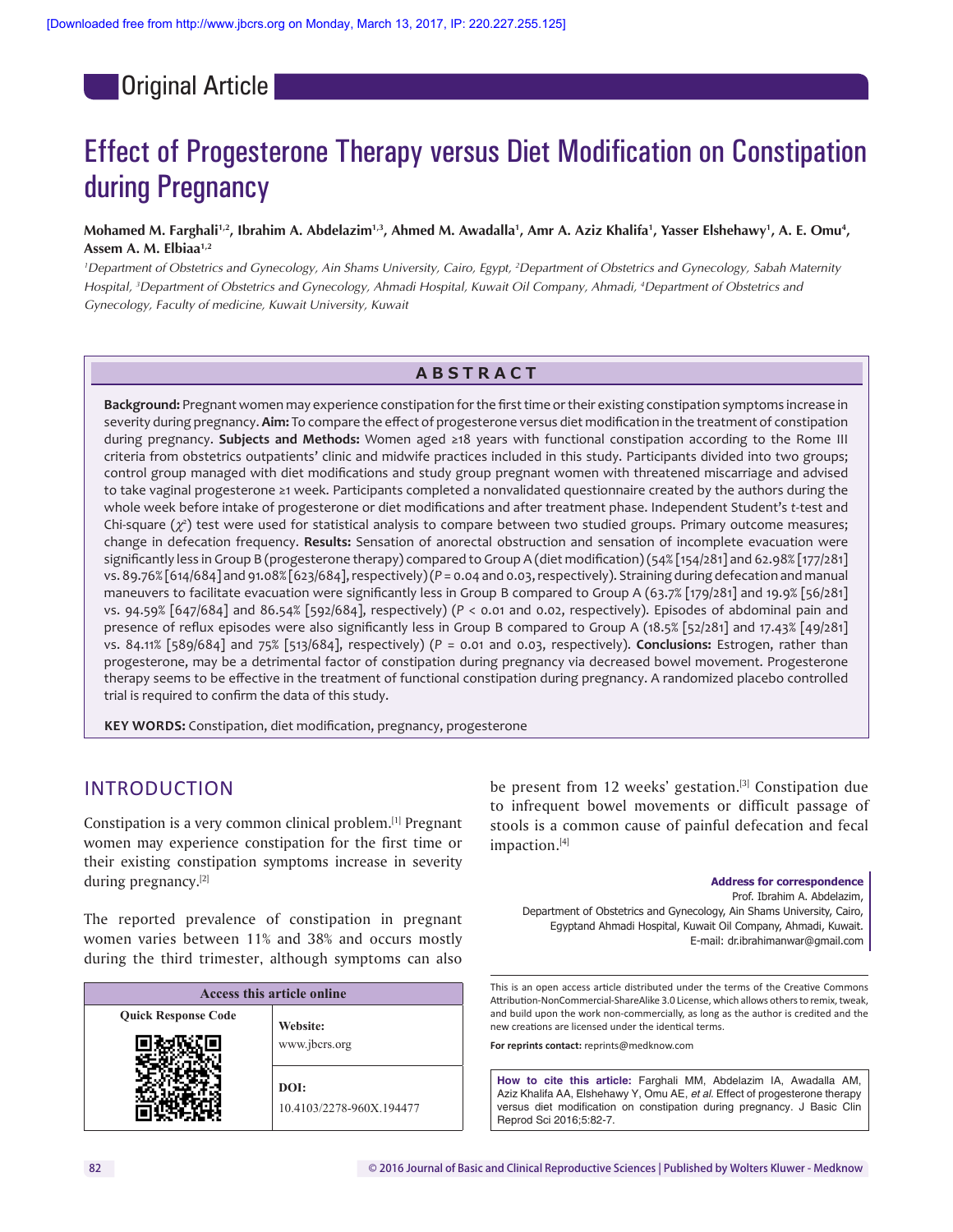Original Article

# Effect of Progesterone Therapy versus Diet Modification on Constipation during Pregnancy

#### Mohamed M. Farghali<sup>1,2</sup>, Ibrahim A. Abdelazim<sup>1,3</sup>, Ahmed M. Awadalla<sup>1</sup>, Amr A. Aziz Khalifa<sup>1</sup>, Yasser Elshehawy<sup>1</sup>, A. E. Omu<sup>4</sup>, **Assem A. M. Elbiaa1,2**

*1 Department of Obstetrics and Gynecology, Ain Shams University, Cairo, Egypt, 2 Department of Obstetrics and Gynecology, Sabah Maternity Hospital, 3 Department of Obstetrics and Gynecology, Ahmadi Hospital, Kuwait Oil Company, Ahmadi, 4 Department of Obstetrics and Gynecology, Faculty of medicine, Kuwait University, Kuwait*

### **ABSTRACT**

**Background:** Pregnant women may experience constipation for the first time or their existing constipation symptoms increase in severity during pregnancy. **Aim:** To compare the effect of progesterone versus diet modification in the treatment of constipation during pregnancy. **Subjects and Methods:** Women aged ≥18 years with functional constipation according to the Rome III criteria from obstetrics outpatients' clinic and midwife practices included in this study. Participants divided into two groups; control group managed with diet modifications and study group pregnant women with threatened miscarriage and advised to take vaginal progesterone ≥1 week. Participants completed a nonvalidated questionnaire created by the authors during the whole week before intake of progesterone or diet modifications and after treatment phase. Independent Student's *t*-test and Chi-square  $(\chi^2)$  test were used for statistical analysis to compare between two studied groups. Primary outcome measures; change in defecation frequency. **Results:** Sensation of anorectal obstruction and sensation of incomplete evacuation were significantly less in Group B (progesterone therapy) compared to Group A (diet modification)(54% [154/281] and 62.98% [177/281] vs. 89.76% [614/684] and 91.08% [623/684], respectively)(*P* = 0.04 and 0.03, respectively). Straining during defecation and manual maneuvers to facilitate evacuation were significantly less in Group B compared to Group A (63.7% [179/281] and 19.9% [56/281] vs. 94.59% [647/684] and 86.54% [592/684], respectively) (*P* < 0.01 and 0.02, respectively). Episodes of abdominal pain and presence of reflux episodes were also significantly less in Group B compared to Group A (18.5% [52/281] and 17.43% [49/281] vs. 84.11% [589/684] and 75% [513/684], respectively) (*P* = 0.01 and 0.03, respectively). **Conclusions:** Estrogen, rather than progesterone, may be a detrimental factor of constipation during pregnancy via decreased bowel movement. Progesterone therapy seems to be effective in the treatment of functional constipation during pregnancy. A randomized placebo controlled trial is required to confirm the data of this study.

**KEY WORDS:** Constipation, diet modification, pregnancy, progesterone

# INTRODUCTION

Constipation is a very common clinical problem.[1] Pregnant women may experience constipation for the first time or their existing constipation symptoms increase in severity during pregnancy.[2]

The reported prevalence of constipation in pregnant women varies between 11% and 38% and occurs mostly during the third trimester, although symptoms can also

| Access this article online |                                  |  |  |  |
|----------------------------|----------------------------------|--|--|--|
| <b>Quick Response Code</b> | Website:                         |  |  |  |
|                            | www.jbcrs.org                    |  |  |  |
|                            | DOI:<br>10.4103/2278-960X.194477 |  |  |  |

be present from 12 weeks' gestation.<sup>[3]</sup> Constipation due to infrequent bowel movements or difficult passage of stools is a common cause of painful defecation and fecal impaction.[4]

**Address for correspondence** Prof. Ibrahim A. Abdelazim, Department of Obstetrics and Gynecology, Ain Shams University, Cairo, Egyptand Ahmadi Hospital, Kuwait Oil Company, Ahmadi, Kuwait. E‑mail: dr.ibrahimanwar@gmail.com

This is an open access article distributed under the terms of the Creative Commons Attribution-NonCommercial-ShareAlike 3.0 License, which allows others to remix, tweak, and build upon the work non‑commercially, as long as the author is credited and the new creations are licensed under the identical terms.

**For reprints contact:** reprints@medknow.com

**How to cite this article:** Farghali MM, Abdelazim IA, Awadalla AM, Aziz Khalifa AA, Elshehawy Y, Omu AE, *et al*. Effect of progesterone therapy versus diet modification on constipation during pregnancy. J Basic Clin Reprod Sci 2016;5:82-7.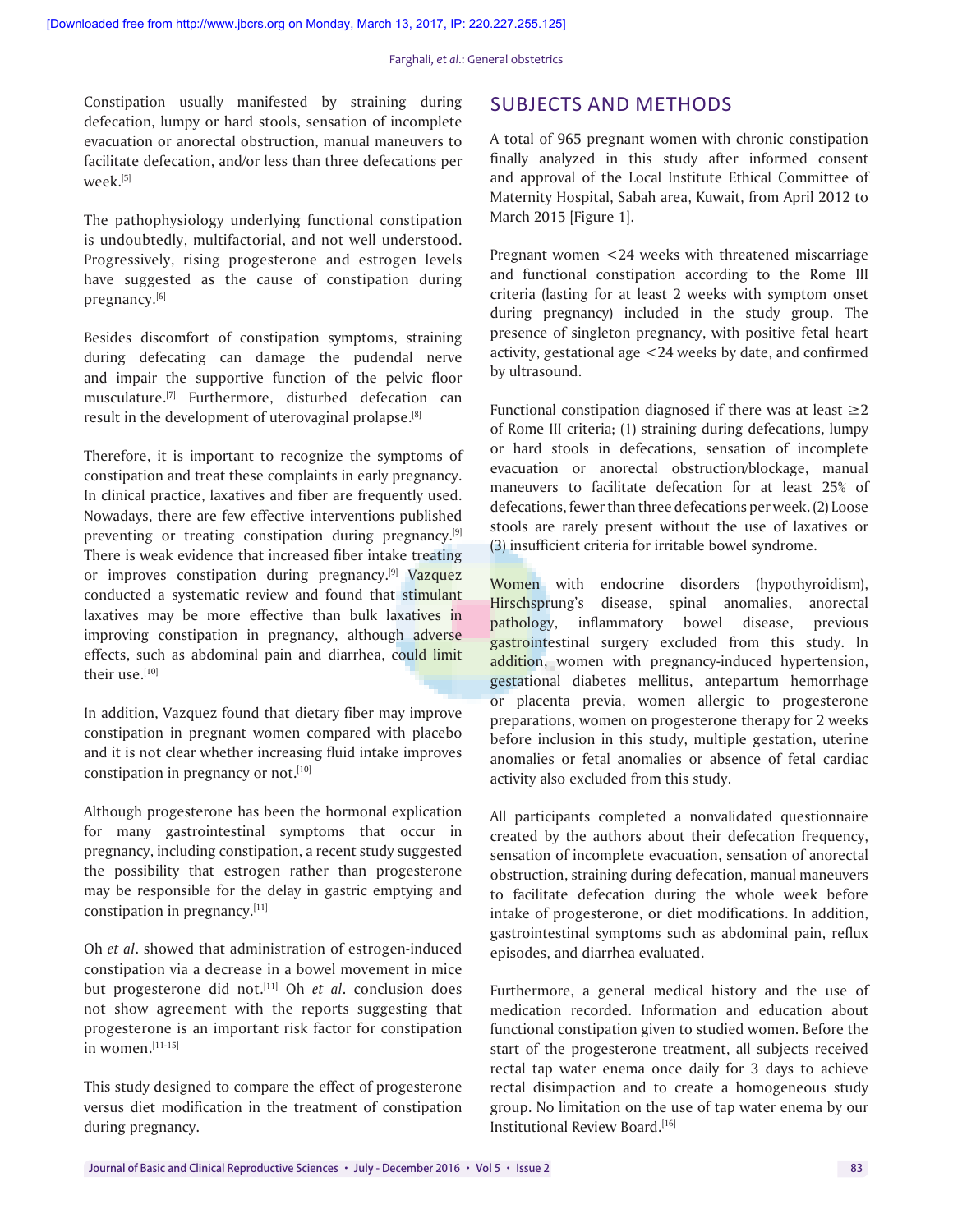Constipation usually manifested by straining during defecation, lumpy or hard stools, sensation of incomplete evacuation or anorectal obstruction, manual maneuvers to facilitate defecation, and/or less than three defecations per week.[5]

The pathophysiology underlying functional constipation is undoubtedly, multifactorial, and not well understood. Progressively, rising progesterone and estrogen levels have suggested as the cause of constipation during pregnancy.[6]

Besides discomfort of constipation symptoms, straining during defecating can damage the pudendal nerve and impair the supportive function of the pelvic floor musculature.[7] Furthermore, disturbed defecation can result in the development of uterovaginal prolapse.[8]

Therefore, it is important to recognize the symptoms of constipation and treat these complaints in early pregnancy. In clinical practice, laxatives and fiber are frequently used. Nowadays, there are few effective interventions published preventing or treating constipation during pregnancy.<sup>[9]</sup> There is weak evidence that increased fiber intake treating or improves constipation during pregnancy.[9] Vazquez conducted a systematic review and found that stimulant laxatives may be more effective than bulk laxatives in improving constipation in pregnancy, although adverse effects, such as abdominal pain and diarrhea, could limit their use.[10]

In addition, Vazquez found that dietary fiber may improve constipation in pregnant women compared with placebo and it is not clear whether increasing fluid intake improves constipation in pregnancy or not.<sup>[10]</sup>

Although progesterone has been the hormonal explication for many gastrointestinal symptoms that occur in pregnancy, including constipation, a recent study suggested the possibility that estrogen rather than progesterone may be responsible for the delay in gastric emptying and constipation in pregnancy.[11]

Oh *et al*. showed that administration of estrogen-induced constipation via a decrease in a bowel movement in mice but progesterone did not.<sup>[11]</sup> Oh *et al*. conclusion does not show agreement with the reports suggesting that progesterone is an important risk factor for constipation in women.[11-15]

This study designed to compare the effect of progesterone versus diet modification in the treatment of constipation during pregnancy.

# SUBJECTS AND METHODS

A total of 965 pregnant women with chronic constipation finally analyzed in this study after informed consent and approval of the Local Institute Ethical Committee of Maternity Hospital, Sabah area, Kuwait, from April 2012 to March 2015 [Figure 1].

Pregnant women <24 weeks with threatened miscarriage and functional constipation according to the Rome III criteria (lasting for at least 2 weeks with symptom onset during pregnancy) included in the study group. The presence of singleton pregnancy, with positive fetal heart activity, gestational age <24 weeks by date, and confirmed by ultrasound.

Functional constipation diagnosed if there was at least  $\geq 2$ of Rome III criteria; (1) straining during defecations, lumpy or hard stools in defecations, sensation of incomplete evacuation or anorectal obstruction/blockage, manual maneuvers to facilitate defecation for at least 25% of defecations, fewer than three defecations per week. (2) Loose stools are rarely present without the use of laxatives or (3) insufficient criteria for irritable bowel syndrome.

Women with endocrine disorders (hypothyroidism), Hirschsprung's disease, spinal anomalies, anorectal pathology, inflammatory bowel disease, previous gastrointestinal surgery excluded from this study. In addition, women with pregnancy-induced hypertension, gestational diabetes mellitus, antepartum hemorrhage or placenta previa, women allergic to progesterone preparations, women on progesterone therapy for 2 weeks before inclusion in this study, multiple gestation, uterine anomalies or fetal anomalies or absence of fetal cardiac activity also excluded from this study.

All participants completed a nonvalidated questionnaire created by the authors about their defecation frequency, sensation of incomplete evacuation, sensation of anorectal obstruction, straining during defecation, manual maneuvers to facilitate defecation during the whole week before intake of progesterone, or diet modifications. In addition, gastrointestinal symptoms such as abdominal pain, reflux episodes, and diarrhea evaluated.

Furthermore, a general medical history and the use of medication recorded. Information and education about functional constipation given to studied women. Before the start of the progesterone treatment, all subjects received rectal tap water enema once daily for 3 days to achieve rectal disimpaction and to create a homogeneous study group. No limitation on the use of tap water enema by our Institutional Review Board.[16]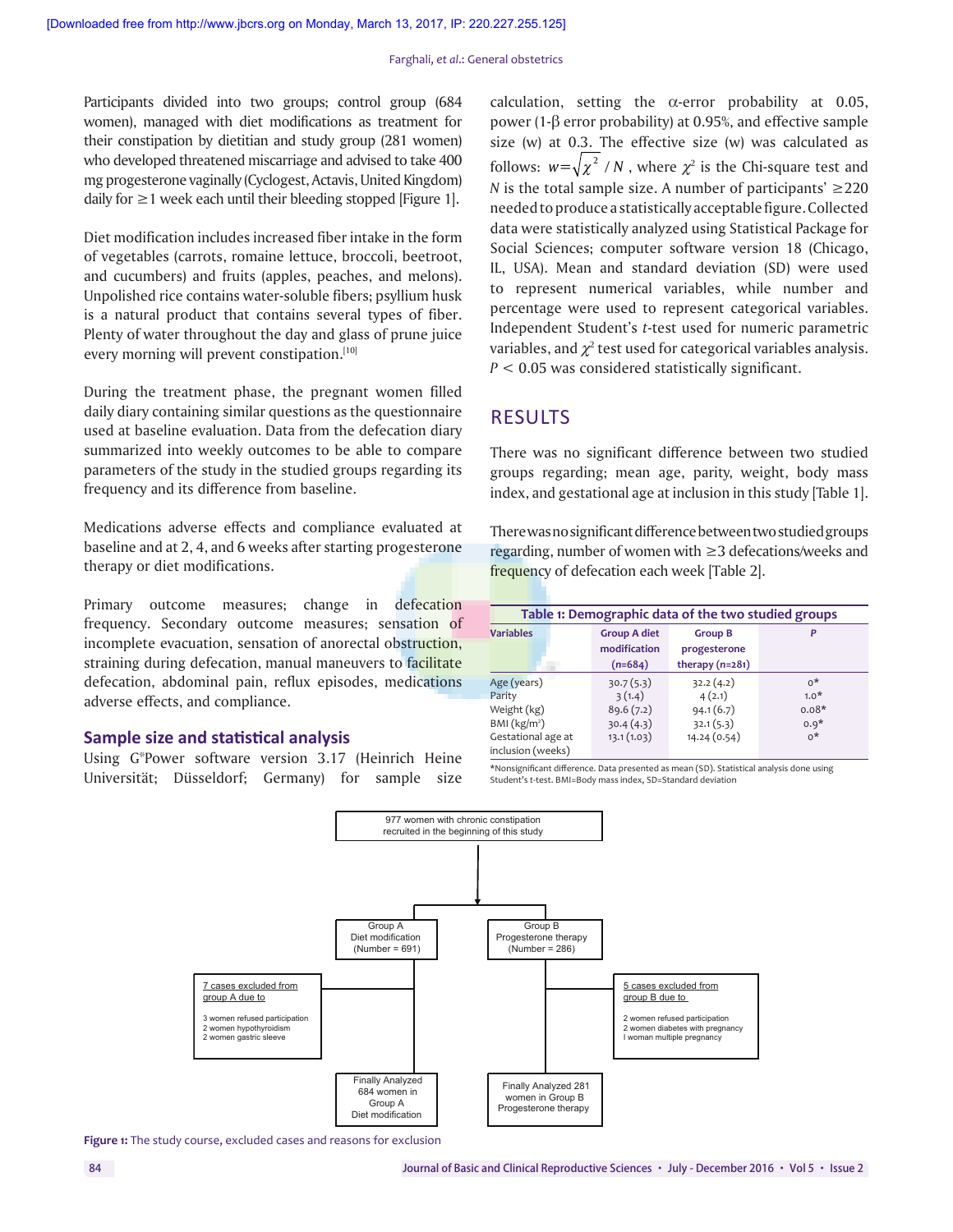Participants divided into two groups; control group (684 women), managed with diet modifications as treatment for their constipation by dietitian and study group (281 women) who developed threatened miscarriage and advised to take 400 mg progesterone vaginally (Cyclogest, Actavis, United Kingdom) daily for  $\geq$  1 week each until their bleeding stopped [Figure 1].

Diet modification includes increased fiber intake in the form of vegetables (carrots, romaine lettuce, broccoli, beetroot, and cucumbers) and fruits (apples, peaches, and melons). Unpolished rice contains water-soluble fibers; psyllium husk is a natural product that contains several types of fiber. Plenty of water throughout the day and glass of prune juice every morning will prevent constipation.<sup>[10]</sup>

During the treatment phase, the pregnant women filled daily diary containing similar questions as the questionnaire used at baseline evaluation. Data from the defecation diary summarized into weekly outcomes to be able to compare parameters of the study in the studied groups regarding its frequency and its difference from baseline.

Medications adverse effects and compliance evaluated at baseline and at 2, 4, and 6 weeks after starting progesterone therapy or diet modifications.

Primary outcome measures; change in defecation frequency. Secondary outcome measures; sensation of incomplete evacuation, sensation of anorectal obstruction, straining during defecation, manual maneuvers to facilitate defecation, abdominal pain, reflux episodes, medications adverse effects, and compliance.

#### **Sample size and statistical analysis**

Using G\*Power software version 3.17 (Heinrich Heine Universität; Düsseldorf; Germany) for sample size calculation, setting the  $\alpha$ -error probability at 0.05, power (1-β error probability) at 0.95%, and effective sample size (w) at 0.3. The effective size (w) was calculated as follows:  $w = \sqrt{\chi^2/N}$  , where  $\chi^2$  is the Chi-square test and *N* is the total sample size. A number of participants'  $\geq$ 220 needed to produce a statistically acceptable figure. Collected data were statistically analyzed using Statistical Package for Social Sciences; computer software version 18 (Chicago, IL, USA). Mean and standard deviation (SD) were used to represent numerical variables, while number and percentage were used to represent categorical variables. Independent Student's *t*-test used for numeric parametric variables, and  $\chi^2$  test used for categorical variables analysis. *P* < 0.05 was considered statistically significant.

### RESULTS

There was no significant difference between two studied groups regarding; mean age, parity, weight, body mass index, and gestational age at inclusion in this study [Table 1].

There was no significant difference between two studied groups regarding, number of women with ≥3 defecations/weeks and frequency of defecation each week [Table 2].

|                    | Table 1: Demographic data of the two studied groups |                   |         |  |  |
|--------------------|-----------------------------------------------------|-------------------|---------|--|--|
| <b>Variables</b>   | <b>Group A diet</b>                                 | <b>Group B</b>    | P       |  |  |
|                    | modification                                        | progesterone      |         |  |  |
|                    | $(n=684)$                                           | therapy $(n=281)$ |         |  |  |
| Age (years)        | 30.7(5.3)                                           | 32.2(4.2)         | $0^*$   |  |  |
| Parity             | 3(1.4)                                              | 4(2.1)            | $1.0*$  |  |  |
| Weight (kg)        | 89.6(7.2)                                           | 94.1(6.7)         | $0.08*$ |  |  |
| BMI $(kg/m2)$      | 30.4(4.3)                                           | 32.1(5.3)         | $0.9*$  |  |  |
| Gestational age at | 13.1(1.03)                                          | 14.24 (0.54)      | $0^*$   |  |  |
| inclusion (weeks)  |                                                     |                   |         |  |  |

\*Nonsignificant difference. Data presented as mean (SD). Statistical analysis done using Student's *t*‑test. BMI=Body mass index, SD=Standard deviation



**Figure 1:** The study course, excluded cases and reasons for exclusion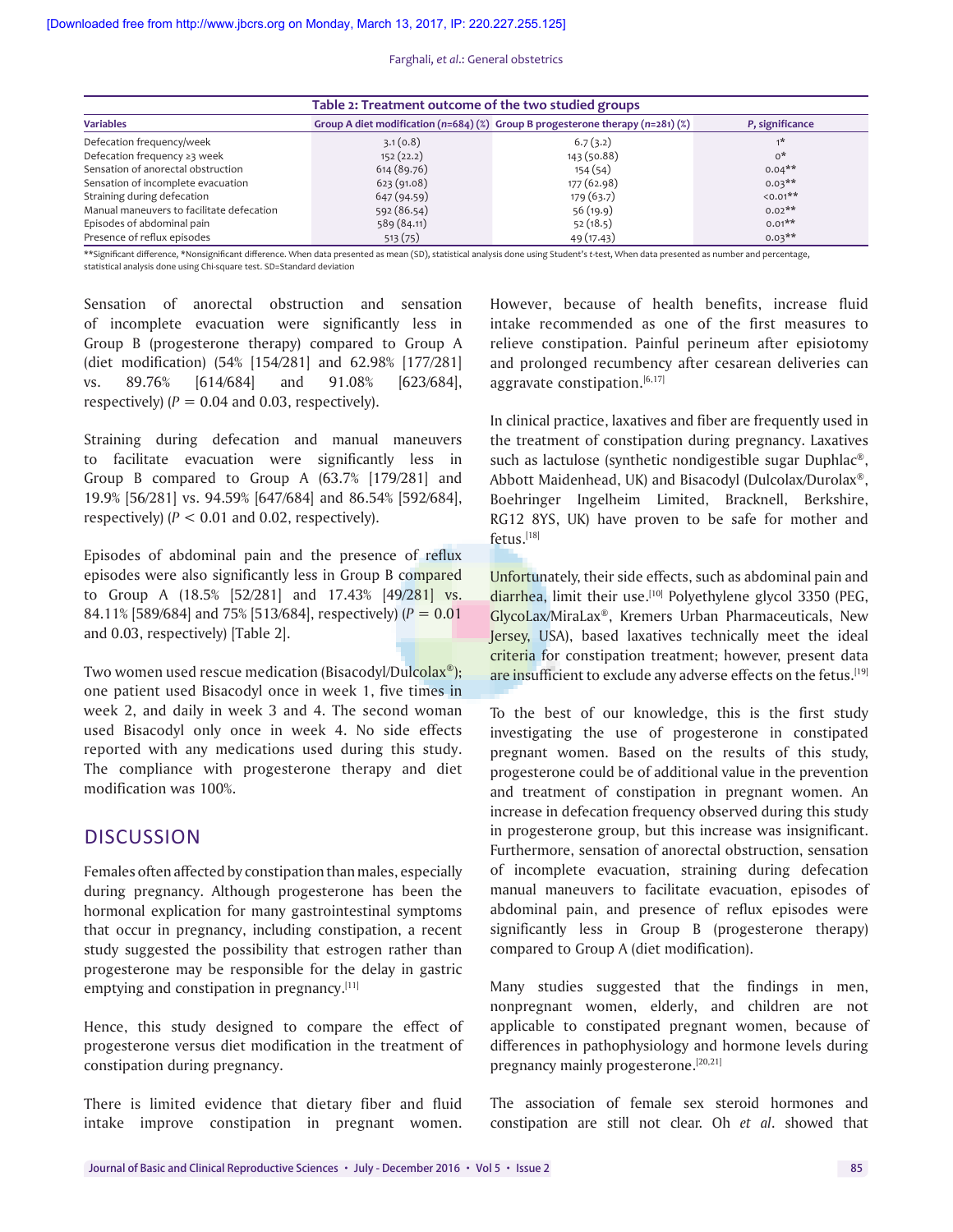Farghali, *et al*.: General obstetrics

| Table 2: Treatment outcome of the two studied groups |             |                                                                                        |                 |  |  |
|------------------------------------------------------|-------------|----------------------------------------------------------------------------------------|-----------------|--|--|
| <b>Variables</b>                                     |             | Group A diet modification ( $n=684$ ) (%) Group B progesterone therapy ( $n=281$ ) (%) | P, significance |  |  |
| Defecation frequency/week                            | 3.1(0.8)    | 6.7(3.2)                                                                               | $1*$            |  |  |
| Defecation frequency ≥3 week                         | 152(22.2)   | 143 (50.88)                                                                            | $0^*$           |  |  |
| Sensation of anorectal obstruction                   | 614(89.76)  | 154(54)                                                                                | $0.04**$        |  |  |
| Sensation of incomplete evacuation                   | 623(91.08)  | 177 (62.98)                                                                            | $0.03***$       |  |  |
| Straining during defecation                          | 647 (94.59) | 179 (63.7)                                                                             | $50.01**$       |  |  |
| Manual maneuvers to facilitate defecation            | 592 (86.54) | 56(19.9)                                                                               | $0.02**$        |  |  |
| Episodes of abdominal pain                           | 589 (84.11) | 52(18.5)                                                                               | $0.01$ **       |  |  |
| Presence of reflux episodes                          | 513(75)     | 49 (17.43)                                                                             | $0.03***$       |  |  |

\*\*Significant difference, \*Nonsignificant difference. When data presented as mean (SD), statistical analysis done using Student's *t*‑test, When data presented as number and percentage, statistical analysis done using Chi-square test. SD=Standard deviation

Sensation of anorectal obstruction and sensation of incomplete evacuation were significantly less in Group B (progesterone therapy) compared to Group A (diet modification) (54% [154/281] and 62.98% [177/281] vs. 89.76% [614/684] and 91.08% [623/684], respectively)  $(P = 0.04$  and 0.03, respectively).

Straining during defecation and manual maneuvers to facilitate evacuation were significantly less in Group B compared to Group A (63.7% [179/281] and 19.9% [56/281] vs. 94.59% [647/684] and 86.54% [592/684], respectively)  $(P < 0.01$  and 0.02, respectively).

Episodes of abdominal pain and the presence of reflux episodes were also significantly less in Group B compared to Group A (18.5% [52/281] and 17.43% [49/281] vs. 84.11% [589/684] and 75% [513/684], respectively) (*P* = 0.01 and 0.03, respectively) [Table 2].

Two women used rescue medication (Bisacodyl/Dulcolax®); one patient used Bisacodyl once in week 1, five times in week 2, and daily in week 3 and 4. The second woman used Bisacodyl only once in week 4. No side effects reported with any medications used during this study. The compliance with progesterone therapy and diet modification was 100%.

# **DISCUSSION**

Females often affected by constipation than males, especially during pregnancy. Although progesterone has been the hormonal explication for many gastrointestinal symptoms that occur in pregnancy, including constipation, a recent study suggested the possibility that estrogen rather than progesterone may be responsible for the delay in gastric emptying and constipation in pregnancy.[11]

Hence, this study designed to compare the effect of progesterone versus diet modification in the treatment of constipation during pregnancy.

There is limited evidence that dietary fiber and fluid intake improve constipation in pregnant women.

However, because of health benefits, increase fluid intake recommended as one of the first measures to relieve constipation. Painful perineum after episiotomy and prolonged recumbency after cesarean deliveries can aggravate constipation. $[6,17]$ 

In clinical practice, laxatives and fiber are frequently used in the treatment of constipation during pregnancy. Laxatives such as lactulose (synthetic nondigestible sugar Duphlac®, Abbott Maidenhead, UK) and Bisacodyl (Dulcolax/Durolax®, Boehringer Ingelheim Limited, Bracknell, Berkshire, RG12 8YS, UK) have proven to be safe for mother and fetus.[18]

Unfortunately, their side effects, such as abdominal pain and diarrhea, limit their use.<sup>[10]</sup> Polyethylene glycol 3350 (PEG, GlycoLax/MiraLax®, Kremers Urban Pharmaceuticals, New Jersey, USA), based laxatives technically meet the ideal criteria for constipation treatment; however, present data are insufficient to exclude any adverse effects on the fetus.<sup>[19]</sup>

To the best of our knowledge, this is the first study investigating the use of progesterone in constipated pregnant women. Based on the results of this study, progesterone could be of additional value in the prevention and treatment of constipation in pregnant women. An increase in defecation frequency observed during this study in progesterone group, but this increase was insignificant. Furthermore, sensation of anorectal obstruction, sensation of incomplete evacuation, straining during defecation manual maneuvers to facilitate evacuation, episodes of abdominal pain, and presence of reflux episodes were significantly less in Group B (progesterone therapy) compared to Group A (diet modification).

Many studies suggested that the findings in men, nonpregnant women, elderly, and children are not applicable to constipated pregnant women, because of differences in pathophysiology and hormone levels during pregnancy mainly progesterone.[20,21]

The association of female sex steroid hormones and constipation are still not clear. Oh *et al*. showed that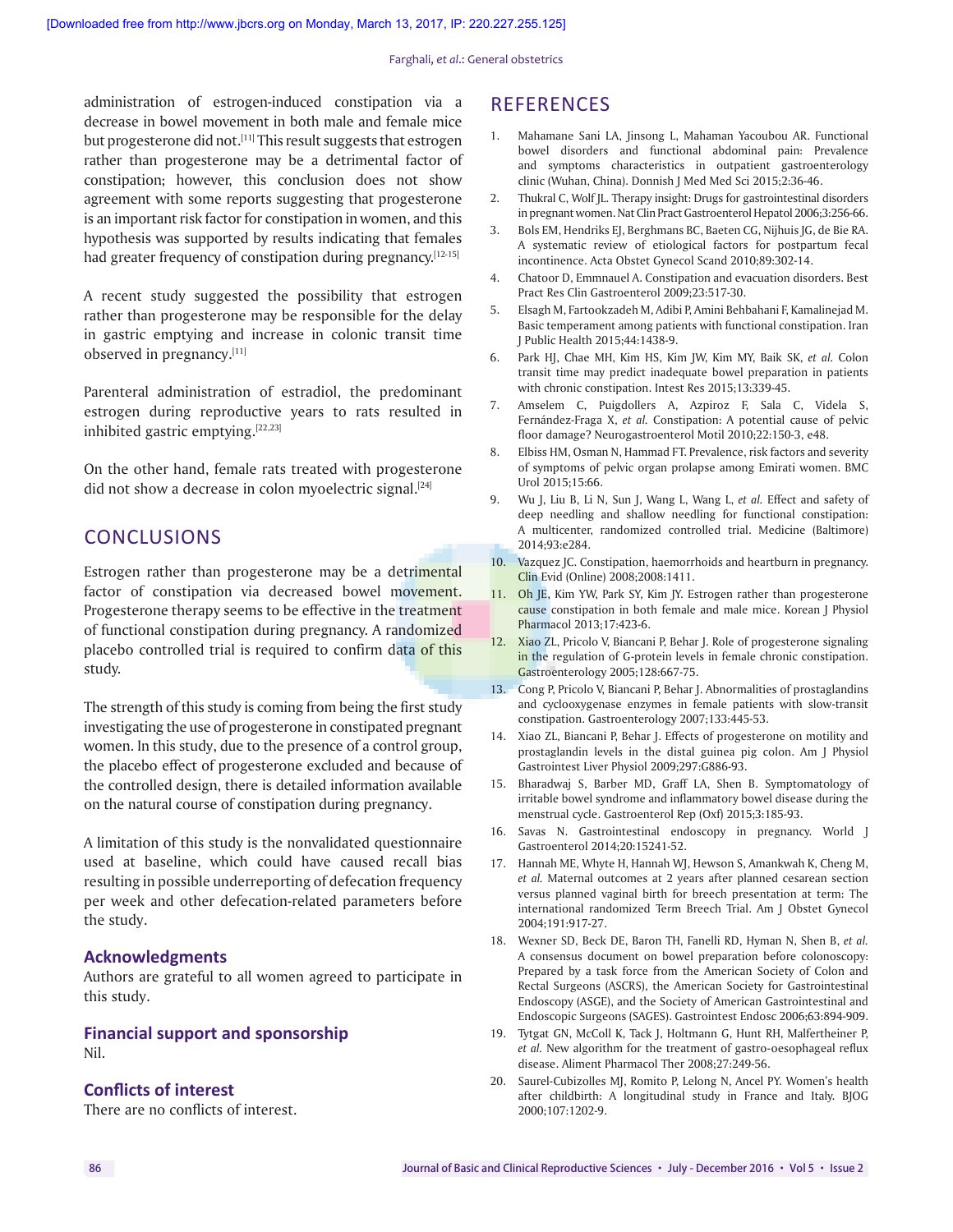administration of estrogen-induced constipation via a decrease in bowel movement in both male and female mice but progesterone did not.<sup>[11]</sup> This result suggests that estrogen rather than progesterone may be a detrimental factor of constipation; however, this conclusion does not show agreement with some reports suggesting that progesterone is an important risk factor for constipation in women, and this hypothesis was supported by results indicating that females had greater frequency of constipation during pregnancy.[12-15]

A recent study suggested the possibility that estrogen rather than progesterone may be responsible for the delay in gastric emptying and increase in colonic transit time observed in pregnancy.[11]

Parenteral administration of estradiol, the predominant estrogen during reproductive years to rats resulted in inhibited gastric emptying.[22,23]

On the other hand, female rats treated with progesterone did not show a decrease in colon myoelectric signal.<sup>[24]</sup>

# **CONCLUSIONS**

Estrogen rather than progesterone may be a detrimental factor of constipation via decreased bowel movement. Progesterone therapy seems to be effective in the treatment of functional constipation during pregnancy. A randomized placebo controlled trial is required to confirm data of this study.

The strength of this study is coming from being the first study investigating the use of progesterone in constipated pregnant women. In this study, due to the presence of a control group, the placebo effect of progesterone excluded and because of the controlled design, there is detailed information available on the natural course of constipation during pregnancy.

A limitation of this study is the nonvalidated questionnaire used at baseline, which could have caused recall bias resulting in possible underreporting of defecation frequency per week and other defecation-related parameters before the study.

#### **Acknowledgments**

Authors are grateful to all women agreed to participate in this study.

#### **Financial support and sponsorship** Nil.

#### **Conflicts of interest**

There are no conflicts of interest.

## **REFERENCES**

- 1. Mahamane Sani LA, Jinsong L, Mahaman Yacoubou AR. Functional bowel disorders and functional abdominal pain: Prevalence and symptoms characteristics in outpatient gastroenterology clinic (Wuhan, China). Donnish J Med Med Sci 2015;2:36-46.
- 2. Thukral C, Wolf JL. Therapy insight: Drugs for gastrointestinal disorders in pregnant women. Nat Clin Pract Gastroenterol Hepatol 2006;3:256-66.
- 3. Bols EM, Hendriks EJ, Berghmans BC, Baeten CG, Nijhuis JG, de Bie RA. A systematic review of etiological factors for postpartum fecal incontinence. Acta Obstet Gynecol Scand 2010;89:302-14.
- 4. Chatoor D, Emmnauel A. Constipation and evacuation disorders. Best Pract Res Clin Gastroenterol 2009;23:517-30.
- 5. Elsagh M, Fartookzadeh M, Adibi P, Amini Behbahani F, Kamalinejad M. Basic temperament among patients with functional constipation. Iran J Public Health 2015;44:1438-9.
- 6. Park HJ, Chae MH, Kim HS, Kim JW, Kim MY, Baik SK, *et al.* Colon transit time may predict inadequate bowel preparation in patients with chronic constipation. Intest Res 2015;13:339-45.
- 7. Amselem C, Puigdollers A, Azpiroz F, Sala C, Videla S, Fernández-Fraga X, *et al.* Constipation: A potential cause of pelvic floor damage? Neurogastroenterol Motil 2010;22:150-3, e48.
- 8. Elbiss HM, Osman N, Hammad FT. Prevalence, risk factors and severity of symptoms of pelvic organ prolapse among Emirati women. BMC Urol 2015;15:66.
- 9. Wu J, Liu B, Li N, Sun J, Wang L, Wang L, *et al.* Effect and safety of deep needling and shallow needling for functional constipation: A multicenter, randomized controlled trial. Medicine (Baltimore) 2014;93:e284.
- 10. Vazquez JC. Constipation, haemorrhoids and heartburn in pregnancy. Clin Evid (Online) 2008;2008:1411.
- 11. Oh JE, Kim YW, Park SY, Kim JY. Estrogen rather than progesterone cause constipation in both female and male mice. Korean J Physiol Pharmacol 2013;17:423-6.
- 12. Xiao ZL, Pricolo V, Biancani P, Behar J. Role of progesterone signaling in the regulation of G-protein levels in female chronic constipation. Gastroenterology 2005;128:667-75.
- 13. Cong P, Pricolo V, Biancani P, Behar J. Abnormalities of prostaglandins and cyclooxygenase enzymes in female patients with slow-transit constipation. Gastroenterology 2007;133:445-53.
- 14. Xiao ZL, Biancani P, Behar J. Effects of progesterone on motility and prostaglandin levels in the distal guinea pig colon. Am J Physiol Gastrointest Liver Physiol 2009;297:G886-93.
- 15. Bharadwaj S, Barber MD, Graff LA, Shen B. Symptomatology of irritable bowel syndrome and inflammatory bowel disease during the menstrual cycle. Gastroenterol Rep (Oxf) 2015;3:185-93.
- 16. Savas N. Gastrointestinal endoscopy in pregnancy. World J Gastroenterol 2014;20:15241-52.
- 17. Hannah ME, Whyte H, Hannah WJ, Hewson S, Amankwah K, Cheng M, *et al.* Maternal outcomes at 2 years after planned cesarean section versus planned vaginal birth for breech presentation at term: The international randomized Term Breech Trial. Am J Obstet Gynecol 2004;191:917-27.
- 18. Wexner SD, Beck DE, Baron TH, Fanelli RD, Hyman N, Shen B, *et al.*  A consensus document on bowel preparation before colonoscopy: Prepared by a task force from the American Society of Colon and Rectal Surgeons (ASCRS), the American Society for Gastrointestinal Endoscopy (ASGE), and the Society of American Gastrointestinal and Endoscopic Surgeons (SAGES). Gastrointest Endosc 2006;63:894-909.
- 19. Tytgat GN, McColl K, Tack J, Holtmann G, Hunt RH, Malfertheiner P, *et al.* New algorithm for the treatment of gastro-oesophageal reflux disease. Aliment Pharmacol Ther 2008;27:249-56.
- 20. Saurel-Cubizolles MJ, Romito P, Lelong N, Ancel PY. Women's health after childbirth: A longitudinal study in France and Italy. BJOG 2000;107:1202-9.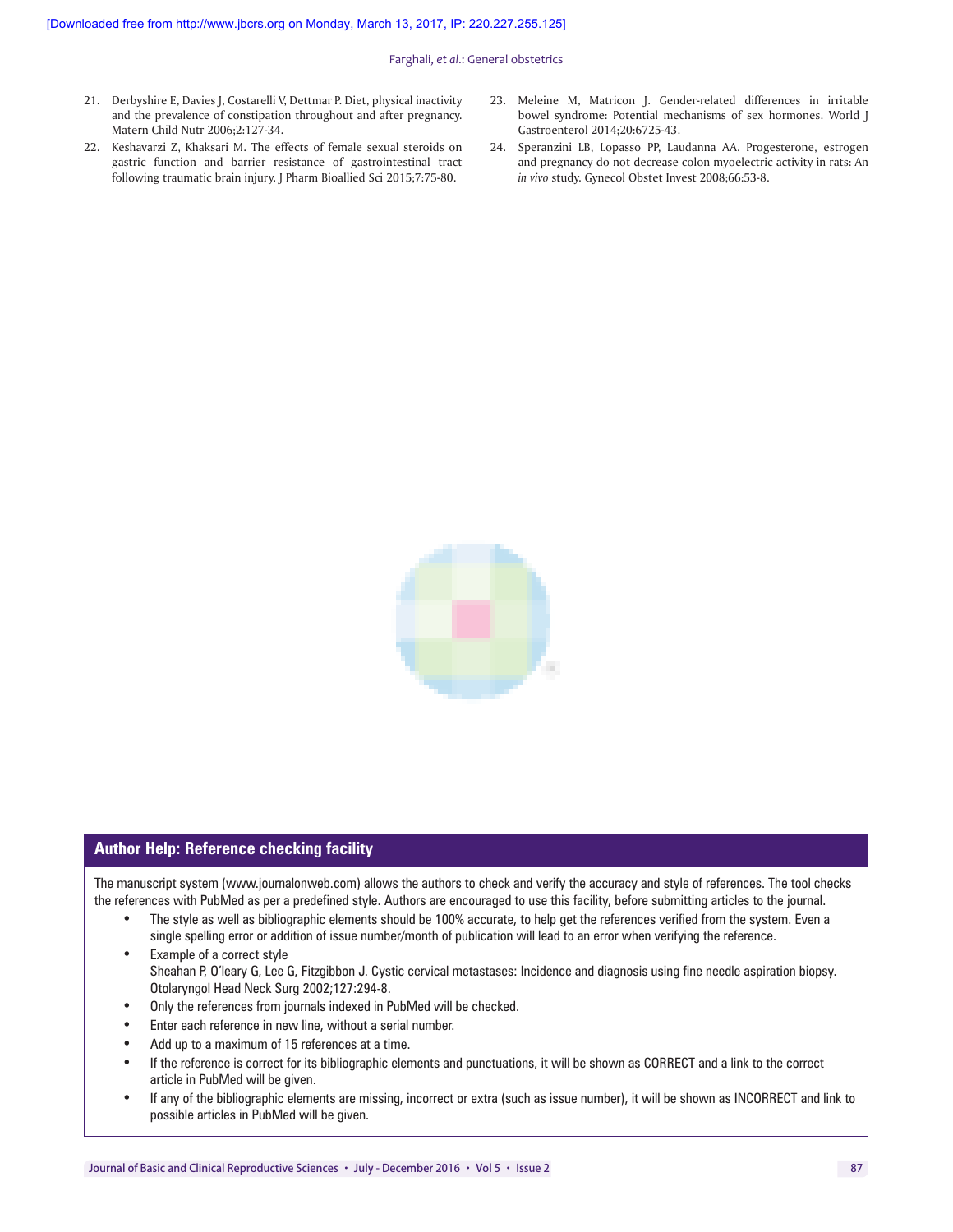Farghali, *et al*.: General obstetrics

- 21. Derbyshire E, Davies J, Costarelli V, Dettmar P. Diet, physical inactivity and the prevalence of constipation throughout and after pregnancy. Matern Child Nutr 2006;2:127-34.
- 22. Keshavarzi Z, Khaksari M. The effects of female sexual steroids on gastric function and barrier resistance of gastrointestinal tract following traumatic brain injury. J Pharm Bioallied Sci 2015;7:75-80.
- 23. Meleine M, Matricon J. Gender-related differences in irritable bowel syndrome: Potential mechanisms of sex hormones. World J Gastroenterol 2014;20:6725-43.
- 24. Speranzini LB, Lopasso PP, Laudanna AA. Progesterone, estrogen and pregnancy do not decrease colon myoelectric activity in rats: An *in vivo* study. Gynecol Obstet Invest 2008;66:53-8.



#### **Author Help: Reference checking facility**

The manuscript system (www.journalonweb.com) allows the authors to check and verify the accuracy and style of references. The tool checks the references with PubMed as per a predefined style. Authors are encouraged to use this facility, before submitting articles to the journal.

- The style as well as bibliographic elements should be 100% accurate, to help get the references verified from the system. Even a single spelling error or addition of issue number/month of publication will lead to an error when verifying the reference.
- Example of a correct style Sheahan P, O'leary G, Lee G, Fitzgibbon J. Cystic cervical metastases: Incidence and diagnosis using fine needle aspiration biopsy. Otolaryngol Head Neck Surg 2002;127:294-8.
- Only the references from journals indexed in PubMed will be checked.
- Enter each reference in new line, without a serial number.
- Add up to a maximum of 15 references at a time.
- If the reference is correct for its bibliographic elements and punctuations, it will be shown as CORRECT and a link to the correct article in PubMed will be given.
- If any of the bibliographic elements are missing, incorrect or extra (such as issue number), it will be shown as INCORRECT and link to possible articles in PubMed will be given.